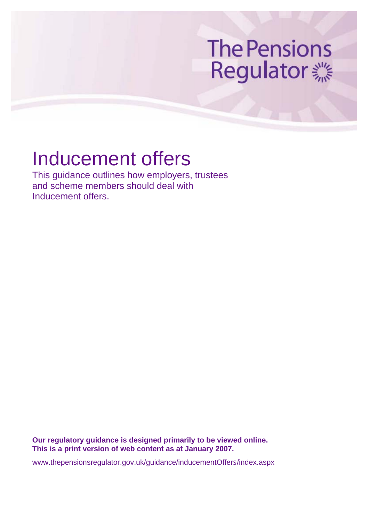# **The Pensions** Regulator **※**

## Inducement offers

This guidance outlines how employers, trustees and scheme members should deal with Inducement offers.

**Our regulatory guidance is designed primarily to be viewed online. This is a print version of web content as at January 2007.** 

www.thepensionsregulator.gov.uk/guidance/inducementOffers/index.aspx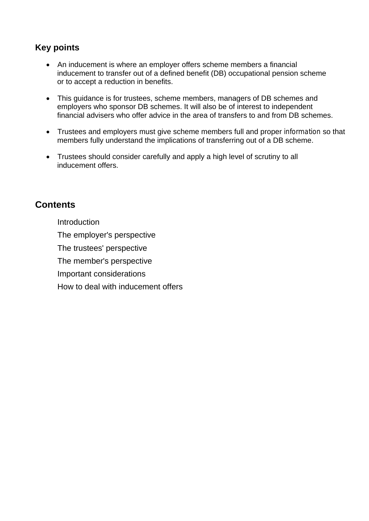## **Key points**

- An inducement is where an employer offers scheme members a financial inducement to transfer out of a defined benefit (DB) occupational pension scheme or to accept a reduction in benefits.
- This guidance is for trustees, scheme members, managers of DB schemes and employers who sponsor DB schemes. It will also be of interest to independent financial advisers who offer advice in the area of transfers to and from DB schemes.
- Trustees and employers must give scheme members full and proper information so that members fully understand the implications of transferring out of a DB scheme.
- Trustees should consider carefully and apply a high level of scrutiny to all inducement offers.

## **Contents.**

**Introduction** The employer's perspective. The trustees' perspective. The member's perspective.

Important considerations.

How to deal with inducement offers.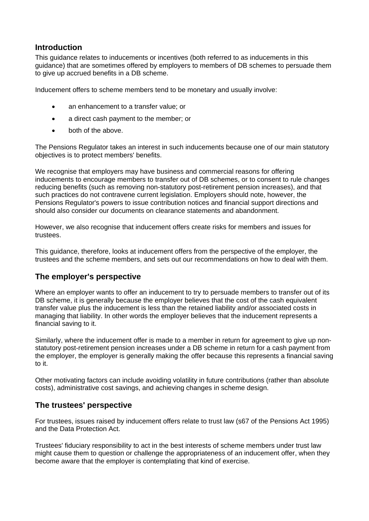### **Introduction**

This guidance relates to inducements or incentives (both referred to as inducements in this guidance) that are sometimes offered by employers to members of DB schemes to persuade them to give up accrued benefits in a DB scheme.

Inducement offers to scheme members tend to be monetary and usually involve:

- an enhancement to a transfer value; or
- a direct cash payment to the member; or
- both of the above.

The Pensions Regulator takes an interest in such inducements because one of our main statutory objectives is to protect members' benefits.

We recognise that employers may have business and commercial reasons for offering inducements to encourage members to transfer out of DB schemes, or to consent to rule changes reducing benefits (such as removing non-statutory post-retirement pension increases), and that such practices do not contravene current legislation. Employers should note, however, the Pensions Regulator's powers to issue contribution notices and financial support directions and should also consider our documents on clearance statements and abandonment.

However, we also recognise that inducement offers create risks for members and issues for trustees.

This guidance, therefore, looks at inducement offers from the perspective of the employer, the trustees and the scheme members, and sets out our recommendations on how to deal with them.

#### **The employer's perspective**

Where an employer wants to offer an inducement to try to persuade members to transfer out of its DB scheme, it is generally because the employer believes that the cost of the cash equivalent transfer value plus the inducement is less than the retained liability and/or associated costs in managing that liability. In other words the employer believes that the inducement represents a financial saving to it.

Similarly, where the inducement offer is made to a member in return for agreement to give up nonstatutory post-retirement pension increases under a DB scheme in return for a cash payment from the employer, the employer is generally making the offer because this represents a financial saving to it.

Other motivating factors can include avoiding volatility in future contributions (rather than absolute costs), administrative cost savings, and achieving changes in scheme design.

#### **The trustees' perspective**

For trustees, issues raised by inducement offers relate to trust law (s67 of the Pensions Act 1995) and the Data Protection Act.

Trustees' fiduciary responsibility to act in the best interests of scheme members under trust law might cause them to question or challenge the appropriateness of an inducement offer, when they become aware that the employer is contemplating that kind of exercise.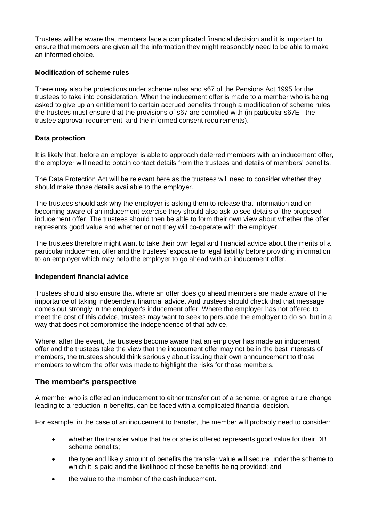Trustees will be aware that members face a complicated financial decision and it is important to ensure that members are given all the information they might reasonably need to be able to make an informed choice.

#### **Modification of scheme rules**

There may also be protections under scheme rules and s67 of the Pensions Act 1995 for the trustees to take into consideration. When the inducement offer is made to a member who is being asked to give up an entitlement to certain accrued benefits through a modification of scheme rules, the trustees must ensure that the provisions of s67 are complied with (in particular s67E - the trustee approval requirement, and the informed consent requirements).

#### **Data protection**

It is likely that, before an employer is able to approach deferred members with an inducement offer, the employer will need to obtain contact details from the trustees and details of members' benefits.

The Data Protection Act will be relevant here as the trustees will need to consider whether they should make those details available to the employer.

The trustees should ask why the employer is asking them to release that information and on becoming aware of an inducement exercise they should also ask to see details of the proposed inducement offer. The trustees should then be able to form their own view about whether the offer represents good value and whether or not they will co-operate with the employer.

The trustees therefore might want to take their own legal and financial advice about the merits of a particular inducement offer and the trustees' exposure to legal liability before providing information to an employer which may help the employer to go ahead with an inducement offer.

#### **Independent financial advice**

Trustees should also ensure that where an offer does go ahead members are made aware of the importance of taking independent financial advice. And trustees should check that that message comes out strongly in the employer's inducement offer. Where the employer has not offered to meet the cost of this advice, trustees may want to seek to persuade the employer to do so, but in a way that does not compromise the independence of that advice.

Where, after the event, the trustees become aware that an employer has made an inducement offer and the trustees take the view that the inducement offer may not be in the best interests of members, the trustees should think seriously about issuing their own announcement to those members to whom the offer was made to highlight the risks for those members.

#### **The member's perspective**

A member who is offered an inducement to either transfer out of a scheme, or agree a rule change leading to a reduction in benefits, can be faced with a complicated financial decision.

For example, in the case of an inducement to transfer, the member will probably need to consider:

- whether the transfer value that he or she is offered represents good value for their DB scheme benefits;
- the type and likely amount of benefits the transfer value will secure under the scheme to which it is paid and the likelihood of those benefits being provided; and
- the value to the member of the cash inducement.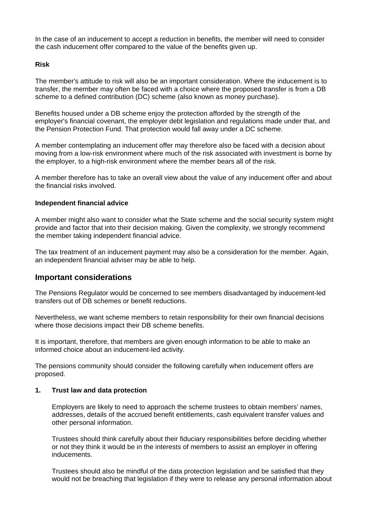In the case of an inducement to accept a reduction in benefits, the member will need to consider the cash inducement offer compared to the value of the benefits given up.

#### **Risk**

The member's attitude to risk will also be an important consideration. Where the inducement is to transfer, the member may often be faced with a choice where the proposed transfer is from a DB scheme to a defined contribution (DC) scheme (also known as money purchase).

Benefits housed under a DB scheme enjoy the protection afforded by the strength of the employer's financial covenant, the employer debt legislation and regulations made under that, and the Pension Protection Fund. That protection would fall away under a DC scheme.

A member contemplating an inducement offer may therefore also be faced with a decision about moving from a low-risk environment where much of the risk associated with investment is borne by the employer, to a high-risk environment where the member bears all of the risk.

A member therefore has to take an overall view about the value of any inducement offer and about the financial risks involved.

#### **Independent financial advice**

A member might also want to consider what the State scheme and the social security system might provide and factor that into their decision making. Given the complexity, we strongly recommend the member taking independent financial advice.

The tax treatment of an inducement payment may also be a consideration for the member. Again, an independent financial adviser may be able to help.

#### **Important considerations**

The Pensions Regulator would be concerned to see members disadvantaged by inducement-led transfers out of DB schemes or benefit reductions.

Nevertheless, we want scheme members to retain responsibility for their own financial decisions where those decisions impact their DB scheme benefits.

It is important, therefore, that members are given enough information to be able to make an informed choice about an inducement-led activity.

The pensions community should consider the following carefully when inducement offers are proposed.

#### **1. Trust law and data protection**

Employers are likely to need to approach the scheme trustees to obtain members' names, addresses, details of the accrued benefit entitlements, cash equivalent transfer values and other personal information.

Trustees should think carefully about their fiduciary responsibilities before deciding whether or not they think it would be in the interests of members to assist an employer in offering inducements.

Trustees should also be mindful of the data protection legislation and be satisfied that they would not be breaching that legislation if they were to release any personal information about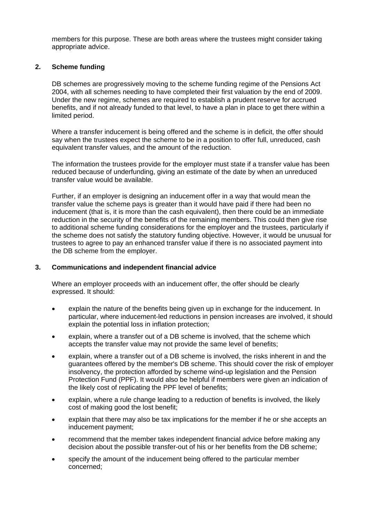members for this purpose. These are both areas where the trustees might consider taking appropriate advice.

#### **2. Scheme funding**.

DB schemes are progressively moving to the scheme funding regime of the Pensions Act 2004, with all schemes needing to have completed their first valuation by the end of 2009. Under the new regime, schemes are required to establish a prudent reserve for accrued benefits, and if not already funded to that level, to have a plan in place to get there within a limited period.

Where a transfer inducement is being offered and the scheme is in deficit, the offer should say when the trustees expect the scheme to be in a position to offer full, unreduced, cash equivalent transfer values, and the amount of the reduction.

The information the trustees provide for the employer must state if a transfer value has been reduced because of underfunding, giving an estimate of the date by when an unreduced transfer value would be available.

Further, if an employer is designing an inducement offer in a way that would mean the transfer value the scheme pays is greater than it would have paid if there had been no inducement (that is, it is more than the cash equivalent), then there could be an immediate reduction in the security of the benefits of the remaining members. This could then give rise to additional scheme funding considerations for the employer and the trustees, particularly if the scheme does not satisfy the statutory funding objective. However, it would be unusual for trustees to agree to pay an enhanced transfer value if there is no associated payment into the DB scheme from the employer.

#### **3. Communications and independent financial advice**.

Where an employer proceeds with an inducement offer, the offer should be clearly expressed. It should:

- explain the nature of the benefits being given up in exchange for the inducement. In particular, where inducement-led reductions in pension increases are involved, it should explain the potential loss in inflation protection;
- explain, where a transfer out of a DB scheme is involved, that the scheme which accepts the transfer value may not provide the same level of benefits;
- explain, where a transfer out of a DB scheme is involved, the risks inherent in and the guarantees offered by the member's DB scheme. This should cover the risk of employer insolvency, the protection afforded by scheme wind-up legislation and the Pension Protection Fund (PPF). It would also be helpful if members were given an indication of the likely cost of replicating the PPF level of benefits;
- explain, where a rule change leading to a reduction of benefits is involved, the likely cost of making good the lost benefit;
- explain that there may also be tax implications for the member if he or she accepts an inducement payment;
- recommend that the member takes independent financial advice before making any decision about the possible transfer-out of his or her benefits from the DB scheme;
- specify the amount of the inducement being offered to the particular member concerned;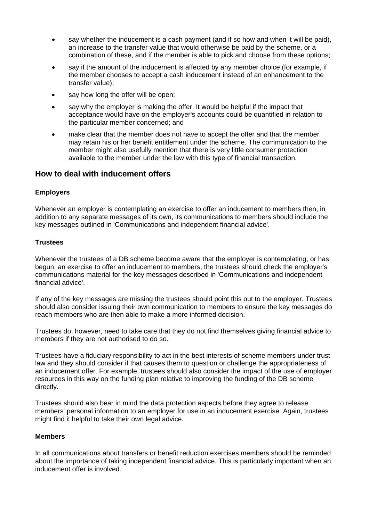- say whether the inducement is a cash payment (and if so how and when it will be paid), an increase to the transfer value that would otherwise be paid by the scheme, or a combination of these, and if the member is able to pick and choose from these options;
- say if the amount of the inducement is affected by any member choice (for example, if the member chooses to accept a cash inducement instead of an enhancement to the transfer value);
- say how long the offer will be open;
- say why the employer is making the offer. It would be helpful if the impact that acceptance would have on the employer's accounts could be quantified in relation to the particular member concerned; and
- make clear that the member does not have to accept the offer and that the member may retain his or her benefit entitlement under the scheme. The communication to the member might also usefully mention that there is very little consumer protection available to the member under the law with this type of financial transaction.

#### **How to deal with inducement offers**

#### **Employers**

Whenever an employer is contemplating an exercise to offer an inducement to members then, in addition to any separate messages of its own, its communications to members should include the key messages outlined in 'Communications and independent financial advice'.

#### **Trustees**

Whenever the trustees of a DB scheme become aware that the employer is contemplating, or has begun, an exercise to offer an inducement to members, the trustees should check the employer's communications material for the key messages described in 'Communications and independent financial advice'.

If any of the key messages are missing the trustees should point this out to the employer. Trustees should also consider issuing their own communication to members to ensure the key messages do reach members who are then able to make a more informed decision.

Trustees do, however, need to take care that they do not find themselves giving financial advice to members if they are not authorised to do so.

Trustees have a fiduciary responsibility to act in the best interests of scheme members under trust law and they should consider if that causes them to question or challenge the appropriateness of an inducement offer. For example, trustees should also consider the impact of the use of employer resources in this way on the funding plan relative to improving the funding of the DB scheme directly.

Trustees should also bear in mind the data protection aspects before they agree to release members' personal information to an employer for use in an inducement exercise. Again, trustees might find it helpful to take their own legal advice.

#### **Members**

In all communications about transfers or benefit reduction exercises members should be reminded about the importance of taking independent financial advice. This is particularly important when an inducement offer is involved.